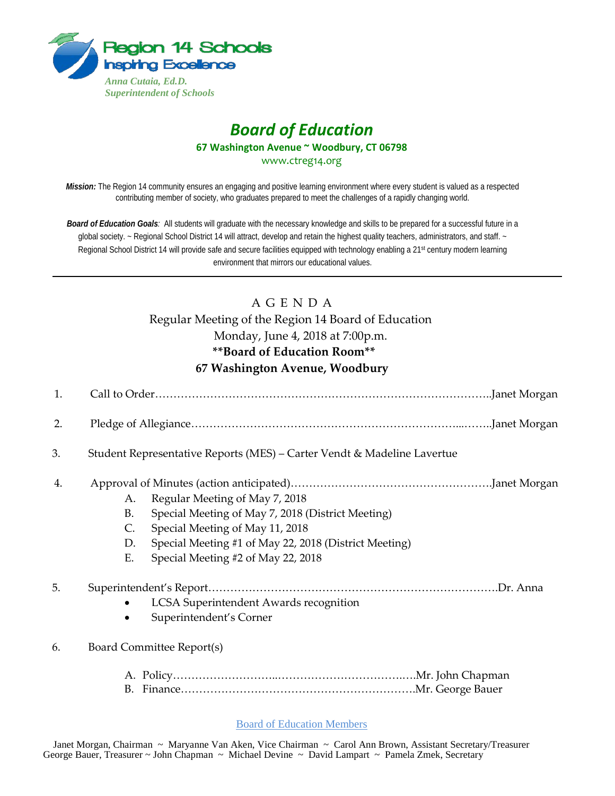

# *Board of Education* **67 Washington Avenue ~ Woodbury, CT 06798** www.ctreg14.org

*Mission:* The Region 14 community ensures an engaging and positive learning environment where every student is valued as a respected contributing member of society, who graduates prepared to meet the challenges of a rapidly changing world.

*Board of Education Goals:* All students will graduate with the necessary knowledge and skills to be prepared for a successful future in a global society. ~ Regional School District 14 will attract, develop and retain the highest quality teachers, administrators, and staff. ~ Regional School District 14 will provide safe and secure facilities equipped with technology enabling a 21<sup>st</sup> century modern learning environment that mirrors our educational values.

# A G E N D A

Regular Meeting of the Region 14 Board of Education Monday, June 4, 2018 at 7:00p.m. **\*\*Board of Education Room\*\* 67 Washington Avenue, Woodbury** 

| 1. |                                                                                                                                                                                                                                                            |
|----|------------------------------------------------------------------------------------------------------------------------------------------------------------------------------------------------------------------------------------------------------------|
| 2. |                                                                                                                                                                                                                                                            |
| 3. | Student Representative Reports (MES) – Carter Vendt & Madeline Lavertue                                                                                                                                                                                    |
| 4. | Regular Meeting of May 7, 2018<br>A.<br><b>B.</b><br>Special Meeting of May 7, 2018 (District Meeting)<br>C.<br>Special Meeting of May 11, 2018<br>D.<br>Special Meeting #1 of May 22, 2018 (District Meeting)<br>Special Meeting #2 of May 22, 2018<br>Ε. |
| 5. | LCSA Superintendent Awards recognition<br>Superintendent's Corner                                                                                                                                                                                          |
| 6. | Board Committee Report(s)<br>B.                                                                                                                                                                                                                            |

#### Board of Education Members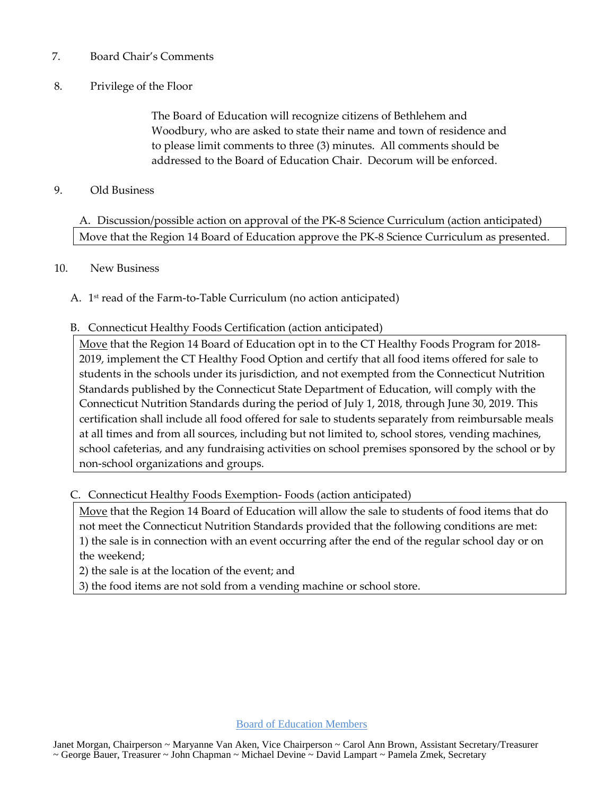## 7. Board Chair's Comments

# 8. Privilege of the Floor

The Board of Education will recognize citizens of Bethlehem and Woodbury, who are asked to state their name and town of residence and to please limit comments to three (3) minutes. All comments should be addressed to the Board of Education Chair. Decorum will be enforced.

## 9. Old Business

A. Discussion/possible action on approval of the PK-8 Science Curriculum (action anticipated) Move that the Region 14 Board of Education approve the PK-8 Science Curriculum as presented.

#### 10. New Business

A. 1st read of the Farm-to-Table Curriculum (no action anticipated)

## B. Connecticut Healthy Foods Certification (action anticipated)

Move that the Region 14 Board of Education opt in to the CT Healthy Foods Program for 2018- 2019, implement the CT Healthy Food Option and certify that all food items offered for sale to students in the schools under its jurisdiction, and not exempted from the Connecticut Nutrition Standards published by the Connecticut State Department of Education, will comply with the Connecticut Nutrition Standards during the period of July 1, 2018, through June 30, 2019. This certification shall include all food offered for sale to students separately from reimbursable meals at all times and from all sources, including but not limited to, school stores, vending machines, school cafeterias, and any fundraising activities on school premises sponsored by the school or by non-school organizations and groups.

C. Connecticut Healthy Foods Exemption- Foods (action anticipated)

Move that the Region 14 Board of Education will allow the sale to students of food items that do not meet the Connecticut Nutrition Standards provided that the following conditions are met: 1) the sale is in connection with an event occurring after the end of the regular school day or on the weekend;

2) the sale is at the location of the event; and

3) the food items are not sold from a vending machine or school store.